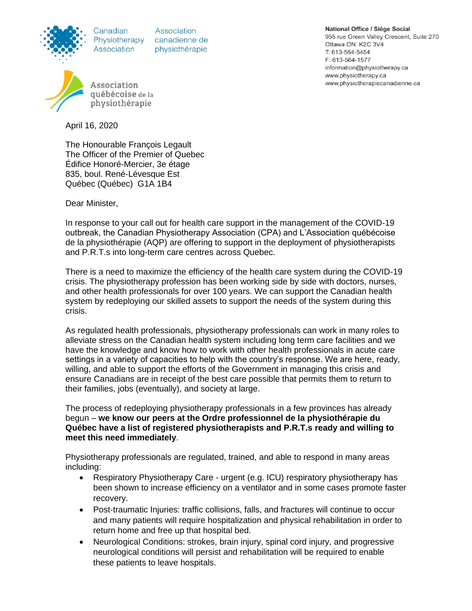Canadian Association

Association Physiotherapy canadienne de physiothérapie

Association québécoise de la physiothérapie

April 16, 2020

The Honourable François Legault The Officer of the Premier of Quebec Édifice Honoré-Mercier, 3e étage 835, boul. René-Lévesque Est Québec (Québec) G1A 1B4

Dear Minister,

In response to your call out for health care support in the management of the COVID-19 outbreak, the Canadian Physiotherapy Association (CPA) and L'Association québécoise de la physiothérapie (AQP) are offering to support in the deployment of physiotherapists and P.R.T.s into long-term care centres across Quebec.

There is a need to maximize the efficiency of the health care system during the COVID-19 crisis. The physiotherapy profession has been working side by side with doctors, nurses, and other health professionals for over 100 years. We can support the Canadian health system by redeploying our skilled assets to support the needs of the system during this crisis.

As regulated health professionals, physiotherapy professionals can work in many roles to alleviate stress on the Canadian health system including long term care facilities and we have the knowledge and know how to work with other health professionals in acute care settings in a variety of capacities to help with the country's response. We are here, ready, willing, and able to support the efforts of the Government in managing this crisis and ensure Canadians are in receipt of the best care possible that permits them to return to their families, jobs (eventually), and society at large.

The process of redeploying physiotherapy professionals in a few provinces has already begun – **we know our peers at the Ordre professionnel de la physiothérapie du Québec have a list of registered physiotherapists and P.R.T.s ready and willing to meet this need immediately**.

Physiotherapy professionals are regulated, trained, and able to respond in many areas including:

- Respiratory Physiotherapy Care urgent (e.g. ICU) respiratory physiotherapy has been shown to increase efficiency on a ventilator and in some cases promote faster recovery.
- Post-traumatic Injuries: traffic collisions, falls, and fractures will continue to occur and many patients will require hospitalization and physical rehabilitation in order to return home and free up that hospital bed.
- Neurological Conditions: strokes, brain injury, spinal cord injury, and progressive neurological conditions will persist and rehabilitation will be required to enable these patients to leave hospitals.

National Office / Siège Social 955 rue Green Valley Crescent, Suite 270 Ottawa ON K2C 3V4 T: 613-564-5454 F: 613-564-1577 information@physiotherapy.ca www.physiotherapy.ca www.physiotherapiecanadienne.ca